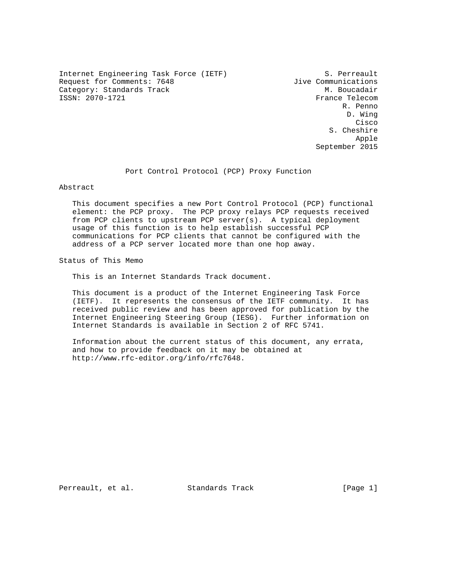Internet Engineering Task Force (IETF) 5. Perreault<br>Request for Comments: 7648 5. Jive Communications Request for Comments: 7648  $\sigma$  Jive Communications<br>Category: Standards Track M. Boucadair Category: Standards Track<br>ISSN: 2070-1721

France Telecom R. Penno D. Wing **Cisco de la contrata de la contrata de la contrata de la contrata de la contrata de la contrata de la contrat**  S. Cheshire Apple September 2015

Port Control Protocol (PCP) Proxy Function

Abstract

 This document specifies a new Port Control Protocol (PCP) functional element: the PCP proxy. The PCP proxy relays PCP requests received from PCP clients to upstream PCP server(s). A typical deployment usage of this function is to help establish successful PCP communications for PCP clients that cannot be configured with the address of a PCP server located more than one hop away.

Status of This Memo

This is an Internet Standards Track document.

 This document is a product of the Internet Engineering Task Force (IETF). It represents the consensus of the IETF community. It has received public review and has been approved for publication by the Internet Engineering Steering Group (IESG). Further information on Internet Standards is available in Section 2 of RFC 5741.

 Information about the current status of this document, any errata, and how to provide feedback on it may be obtained at http://www.rfc-editor.org/info/rfc7648.

Perreault, et al. Standards Track [Page 1]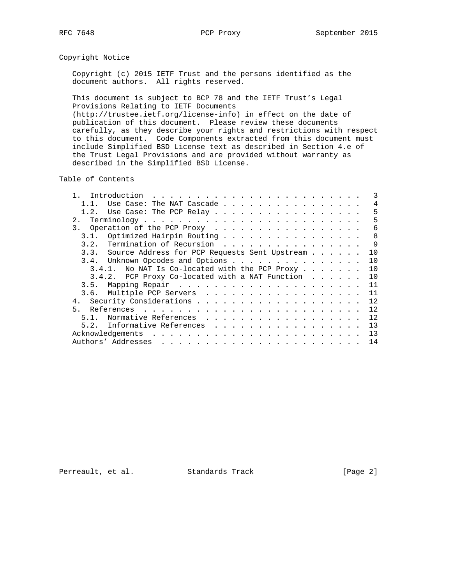# Copyright Notice

 Copyright (c) 2015 IETF Trust and the persons identified as the document authors. All rights reserved.

 This document is subject to BCP 78 and the IETF Trust's Legal Provisions Relating to IETF Documents (http://trustee.ietf.org/license-info) in effect on the date of publication of this document. Please review these documents carefully, as they describe your rights and restrictions with respect to this document. Code Components extracted from this document must include Simplified BSD License text as described in Section 4.e of the Trust Legal Provisions and are provided without warranty as

described in the Simplified BSD License.

Table of Contents

| Introduction                                                                                                                                                                                                                                             |  |  |  | $\mathcal{R}$ |
|----------------------------------------------------------------------------------------------------------------------------------------------------------------------------------------------------------------------------------------------------------|--|--|--|---------------|
| Use Case: The NAT Cascade                                                                                                                                                                                                                                |  |  |  | 4             |
| 1.2. Use Case: The PCP Relay                                                                                                                                                                                                                             |  |  |  | 5             |
| 2.1                                                                                                                                                                                                                                                      |  |  |  | 5             |
| 3. Operation of the PCP Proxy                                                                                                                                                                                                                            |  |  |  | 6             |
| 3.1. Optimized Hairpin Routing                                                                                                                                                                                                                           |  |  |  | 8             |
| Termination of Recursion<br>3.2.                                                                                                                                                                                                                         |  |  |  | 9             |
| 3.3. Source Address for PCP Requests Sent Upstream                                                                                                                                                                                                       |  |  |  | 10            |
| Unknown Opcodes and Options<br>3.4.                                                                                                                                                                                                                      |  |  |  | 10            |
| No NAT Is Co-located with the PCP Proxy<br>3.4.1.                                                                                                                                                                                                        |  |  |  | 10            |
| 3.4.2. PCP Proxy Co-located with a NAT Function                                                                                                                                                                                                          |  |  |  | 10            |
| 3.5.                                                                                                                                                                                                                                                     |  |  |  | 11            |
| 3.6. Multiple PCP Servers                                                                                                                                                                                                                                |  |  |  | 11            |
| 4 <sub>1</sub>                                                                                                                                                                                                                                           |  |  |  | 12            |
| 5 <sub>1</sub>                                                                                                                                                                                                                                           |  |  |  | 12            |
| Normative References<br>5.1.                                                                                                                                                                                                                             |  |  |  | 12            |
| Informative References<br>5.2.                                                                                                                                                                                                                           |  |  |  | 13            |
|                                                                                                                                                                                                                                                          |  |  |  | 13            |
| Authors' Addresses<br>$\mathbf{r}_i$ , and the set of the set of the set of the set of the set of the set of the set of the set of the set of the set of the set of the set of the set of the set of the set of the set of the set of the set of the set |  |  |  | 14            |

Perreault, et al. Standards Track [Page 2]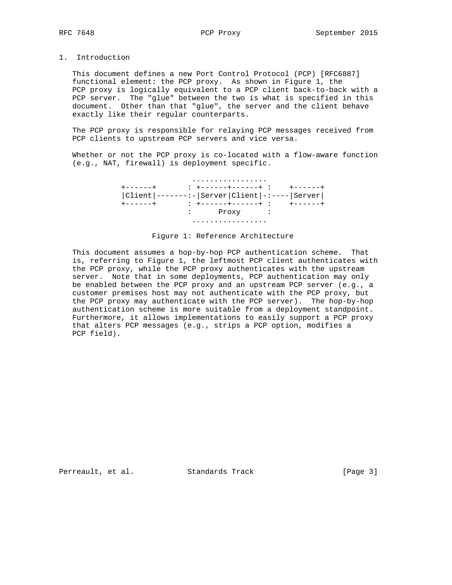## 1. Introduction

 This document defines a new Port Control Protocol (PCP) [RFC6887] functional element: the PCP proxy. As shown in Figure 1, the PCP proxy is logically equivalent to a PCP client back-to-back with a PCP server. The "glue" between the two is what is specified in this document. Other than that "glue", the server and the client behave exactly like their regular counterparts.

 The PCP proxy is responsible for relaying PCP messages received from PCP clients to upstream PCP servers and vice versa.

Whether or not the PCP proxy is co-located with a flow-aware function (e.g., NAT, firewall) is deployment specific.

|                                               | .       |  |  |
|-----------------------------------------------|---------|--|--|
|                                               |         |  |  |
| $ Client -----:- Server Client ----- Server $ |         |  |  |
| $+ - - - - - +$                               |         |  |  |
|                                               | : Proxy |  |  |
|                                               |         |  |  |

## Figure 1: Reference Architecture

 This document assumes a hop-by-hop PCP authentication scheme. That is, referring to Figure 1, the leftmost PCP client authenticates with the PCP proxy, while the PCP proxy authenticates with the upstream server. Note that in some deployments, PCP authentication may only be enabled between the PCP proxy and an upstream PCP server (e.g., a customer premises host may not authenticate with the PCP proxy, but the PCP proxy may authenticate with the PCP server). The hop-by-hop authentication scheme is more suitable from a deployment standpoint. Furthermore, it allows implementations to easily support a PCP proxy that alters PCP messages (e.g., strips a PCP option, modifies a PCP field).

Perreault, et al. Standards Track [Page 3]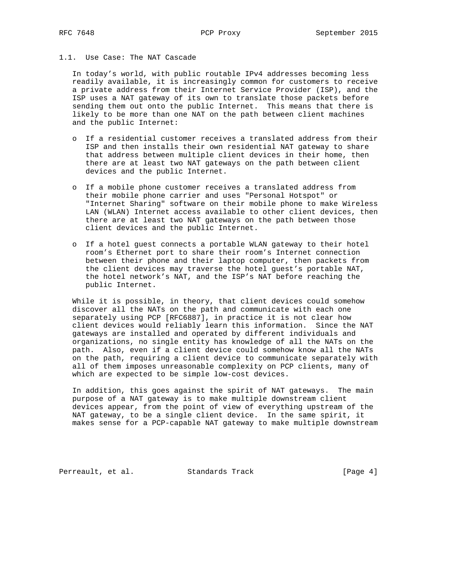## 1.1. Use Case: The NAT Cascade

 In today's world, with public routable IPv4 addresses becoming less readily available, it is increasingly common for customers to receive a private address from their Internet Service Provider (ISP), and the ISP uses a NAT gateway of its own to translate those packets before sending them out onto the public Internet. This means that there is likely to be more than one NAT on the path between client machines and the public Internet:

- o If a residential customer receives a translated address from their ISP and then installs their own residential NAT gateway to share that address between multiple client devices in their home, then there are at least two NAT gateways on the path between client devices and the public Internet.
- o If a mobile phone customer receives a translated address from their mobile phone carrier and uses "Personal Hotspot" or "Internet Sharing" software on their mobile phone to make Wireless LAN (WLAN) Internet access available to other client devices, then there are at least two NAT gateways on the path between those client devices and the public Internet.
- o If a hotel guest connects a portable WLAN gateway to their hotel room's Ethernet port to share their room's Internet connection between their phone and their laptop computer, then packets from the client devices may traverse the hotel guest's portable NAT, the hotel network's NAT, and the ISP's NAT before reaching the public Internet.

 While it is possible, in theory, that client devices could somehow discover all the NATs on the path and communicate with each one separately using PCP [RFC6887], in practice it is not clear how client devices would reliably learn this information. Since the NAT gateways are installed and operated by different individuals and organizations, no single entity has knowledge of all the NATs on the path. Also, even if a client device could somehow know all the NATs on the path, requiring a client device to communicate separately with all of them imposes unreasonable complexity on PCP clients, many of which are expected to be simple low-cost devices.

 In addition, this goes against the spirit of NAT gateways. The main purpose of a NAT gateway is to make multiple downstream client devices appear, from the point of view of everything upstream of the NAT gateway, to be a single client device. In the same spirit, it makes sense for a PCP-capable NAT gateway to make multiple downstream

Perreault, et al. Standards Track [Page 4]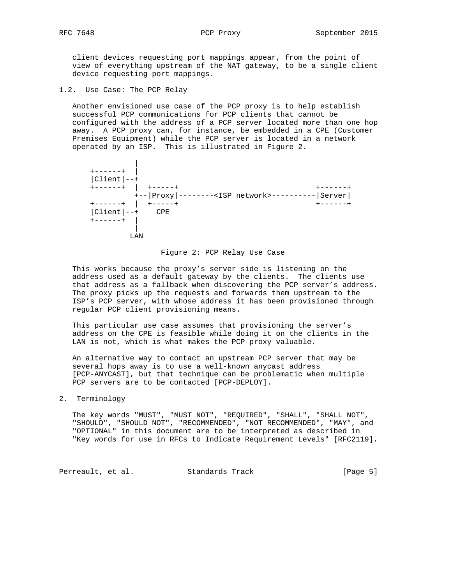client devices requesting port mappings appear, from the point of view of everything upstream of the NAT gateway, to be a single client device requesting port mappings.

1.2. Use Case: The PCP Relay

 Another envisioned use case of the PCP proxy is to help establish successful PCP communications for PCP clients that cannot be configured with the address of a PCP server located more than one hop away. A PCP proxy can, for instance, be embedded in a CPE (Customer Premises Equipment) while the PCP server is located in a network operated by an ISP. This is illustrated in Figure 2.



## Figure 2: PCP Relay Use Case

 This works because the proxy's server side is listening on the address used as a default gateway by the clients. The clients use that address as a fallback when discovering the PCP server's address. The proxy picks up the requests and forwards them upstream to the ISP's PCP server, with whose address it has been provisioned through regular PCP client provisioning means.

 This particular use case assumes that provisioning the server's address on the CPE is feasible while doing it on the clients in the LAN is not, which is what makes the PCP proxy valuable.

 An alternative way to contact an upstream PCP server that may be several hops away is to use a well-known anycast address [PCP-ANYCAST], but that technique can be problematic when multiple PCP servers are to be contacted [PCP-DEPLOY].

2. Terminology

 The key words "MUST", "MUST NOT", "REQUIRED", "SHALL", "SHALL NOT", "SHOULD", "SHOULD NOT", "RECOMMENDED", "NOT RECOMMENDED", "MAY", and "OPTIONAL" in this document are to be interpreted as described in "Key words for use in RFCs to Indicate Requirement Levels" [RFC2119].

Perreault, et al. Standards Track [Page 5]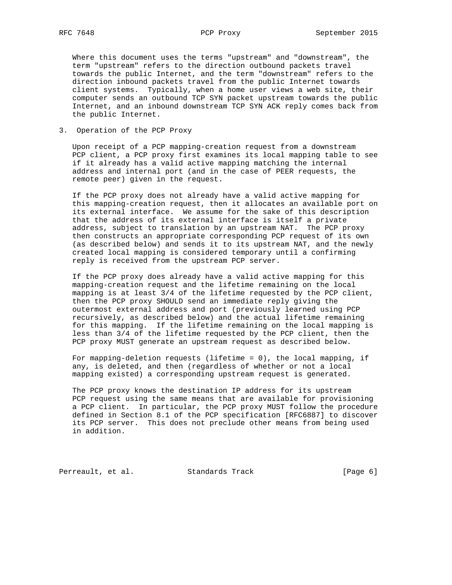Where this document uses the terms "upstream" and "downstream", the term "upstream" refers to the direction outbound packets travel towards the public Internet, and the term "downstream" refers to the direction inbound packets travel from the public Internet towards client systems. Typically, when a home user views a web site, their computer sends an outbound TCP SYN packet upstream towards the public Internet, and an inbound downstream TCP SYN ACK reply comes back from the public Internet.

3. Operation of the PCP Proxy

 Upon receipt of a PCP mapping-creation request from a downstream PCP client, a PCP proxy first examines its local mapping table to see if it already has a valid active mapping matching the internal address and internal port (and in the case of PEER requests, the remote peer) given in the request.

 If the PCP proxy does not already have a valid active mapping for this mapping-creation request, then it allocates an available port on its external interface. We assume for the sake of this description that the address of its external interface is itself a private address, subject to translation by an upstream NAT. The PCP proxy then constructs an appropriate corresponding PCP request of its own (as described below) and sends it to its upstream NAT, and the newly created local mapping is considered temporary until a confirming reply is received from the upstream PCP server.

 If the PCP proxy does already have a valid active mapping for this mapping-creation request and the lifetime remaining on the local mapping is at least 3/4 of the lifetime requested by the PCP client, then the PCP proxy SHOULD send an immediate reply giving the outermost external address and port (previously learned using PCP recursively, as described below) and the actual lifetime remaining for this mapping. If the lifetime remaining on the local mapping is less than 3/4 of the lifetime requested by the PCP client, then the PCP proxy MUST generate an upstream request as described below.

 For mapping-deletion requests (lifetime = 0), the local mapping, if any, is deleted, and then (regardless of whether or not a local mapping existed) a corresponding upstream request is generated.

 The PCP proxy knows the destination IP address for its upstream PCP request using the same means that are available for provisioning a PCP client. In particular, the PCP proxy MUST follow the procedure defined in Section 8.1 of the PCP specification [RFC6887] to discover its PCP server. This does not preclude other means from being used in addition.

Perreault, et al. Standards Track [Page 6]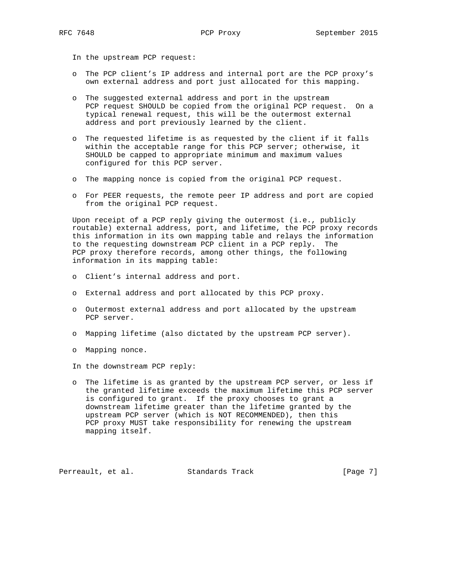In the upstream PCP request:

- o The PCP client's IP address and internal port are the PCP proxy's own external address and port just allocated for this mapping.
- o The suggested external address and port in the upstream PCP request SHOULD be copied from the original PCP request. On a typical renewal request, this will be the outermost external address and port previously learned by the client.
- o The requested lifetime is as requested by the client if it falls within the acceptable range for this PCP server; otherwise, it SHOULD be capped to appropriate minimum and maximum values configured for this PCP server.
- o The mapping nonce is copied from the original PCP request.
- o For PEER requests, the remote peer IP address and port are copied from the original PCP request.

 Upon receipt of a PCP reply giving the outermost (i.e., publicly routable) external address, port, and lifetime, the PCP proxy records this information in its own mapping table and relays the information to the requesting downstream PCP client in a PCP reply. The PCP proxy therefore records, among other things, the following information in its mapping table:

- o Client's internal address and port.
- o External address and port allocated by this PCP proxy.
- o Outermost external address and port allocated by the upstream PCP server.
- o Mapping lifetime (also dictated by the upstream PCP server).
- o Mapping nonce.

In the downstream PCP reply:

 o The lifetime is as granted by the upstream PCP server, or less if the granted lifetime exceeds the maximum lifetime this PCP server is configured to grant. If the proxy chooses to grant a downstream lifetime greater than the lifetime granted by the upstream PCP server (which is NOT RECOMMENDED), then this PCP proxy MUST take responsibility for renewing the upstream mapping itself.

Perreault, et al. Standards Track [Page 7]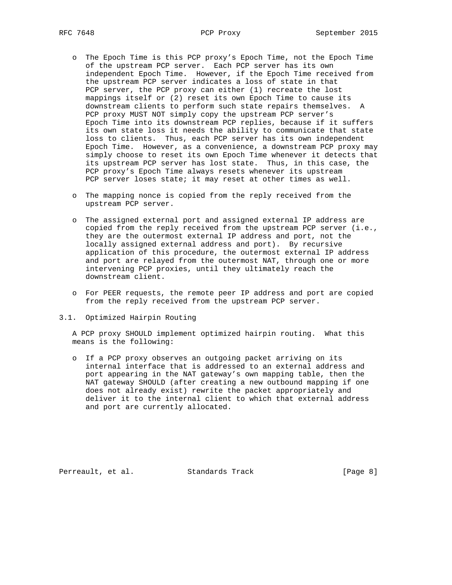- o The Epoch Time is this PCP proxy's Epoch Time, not the Epoch Time of the upstream PCP server. Each PCP server has its own independent Epoch Time. However, if the Epoch Time received from the upstream PCP server indicates a loss of state in that PCP server, the PCP proxy can either (1) recreate the lost mappings itself or (2) reset its own Epoch Time to cause its downstream clients to perform such state repairs themselves. A PCP proxy MUST NOT simply copy the upstream PCP server's Epoch Time into its downstream PCP replies, because if it suffers its own state loss it needs the ability to communicate that state loss to clients. Thus, each PCP server has its own independent Epoch Time. However, as a convenience, a downstream PCP proxy may simply choose to reset its own Epoch Time whenever it detects that its upstream PCP server has lost state. Thus, in this case, the PCP proxy's Epoch Time always resets whenever its upstream PCP server loses state; it may reset at other times as well.
- o The mapping nonce is copied from the reply received from the upstream PCP server.
- o The assigned external port and assigned external IP address are copied from the reply received from the upstream PCP server (i.e., they are the outermost external IP address and port, not the locally assigned external address and port). By recursive application of this procedure, the outermost external IP address and port are relayed from the outermost NAT, through one or more intervening PCP proxies, until they ultimately reach the downstream client.
- o For PEER requests, the remote peer IP address and port are copied from the reply received from the upstream PCP server.
- 3.1. Optimized Hairpin Routing

 A PCP proxy SHOULD implement optimized hairpin routing. What this means is the following:

 o If a PCP proxy observes an outgoing packet arriving on its internal interface that is addressed to an external address and port appearing in the NAT gateway's own mapping table, then the NAT gateway SHOULD (after creating a new outbound mapping if one does not already exist) rewrite the packet appropriately and deliver it to the internal client to which that external address and port are currently allocated.

Perreault, et al. Standards Track [Page 8]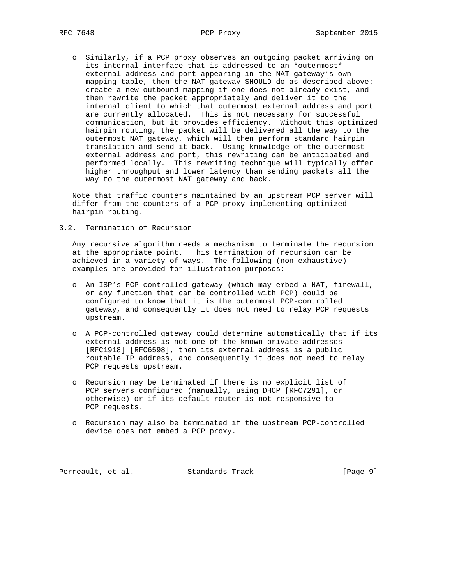o Similarly, if a PCP proxy observes an outgoing packet arriving on its internal interface that is addressed to an \*outermost\* external address and port appearing in the NAT gateway's own mapping table, then the NAT gateway SHOULD do as described above: create a new outbound mapping if one does not already exist, and then rewrite the packet appropriately and deliver it to the internal client to which that outermost external address and port are currently allocated. This is not necessary for successful communication, but it provides efficiency. Without this optimized hairpin routing, the packet will be delivered all the way to the outermost NAT gateway, which will then perform standard hairpin translation and send it back. Using knowledge of the outermost external address and port, this rewriting can be anticipated and performed locally. This rewriting technique will typically offer higher throughput and lower latency than sending packets all the way to the outermost NAT gateway and back.

 Note that traffic counters maintained by an upstream PCP server will differ from the counters of a PCP proxy implementing optimized hairpin routing.

3.2. Termination of Recursion

 Any recursive algorithm needs a mechanism to terminate the recursion at the appropriate point. This termination of recursion can be achieved in a variety of ways. The following (non-exhaustive) examples are provided for illustration purposes:

- o An ISP's PCP-controlled gateway (which may embed a NAT, firewall, or any function that can be controlled with PCP) could be configured to know that it is the outermost PCP-controlled gateway, and consequently it does not need to relay PCP requests upstream.
- o A PCP-controlled gateway could determine automatically that if its external address is not one of the known private addresses [RFC1918] [RFC6598], then its external address is a public routable IP address, and consequently it does not need to relay PCP requests upstream.
- o Recursion may be terminated if there is no explicit list of PCP servers configured (manually, using DHCP [RFC7291], or otherwise) or if its default router is not responsive to PCP requests.
- o Recursion may also be terminated if the upstream PCP-controlled device does not embed a PCP proxy.

Perreault, et al. Standards Track [Page 9]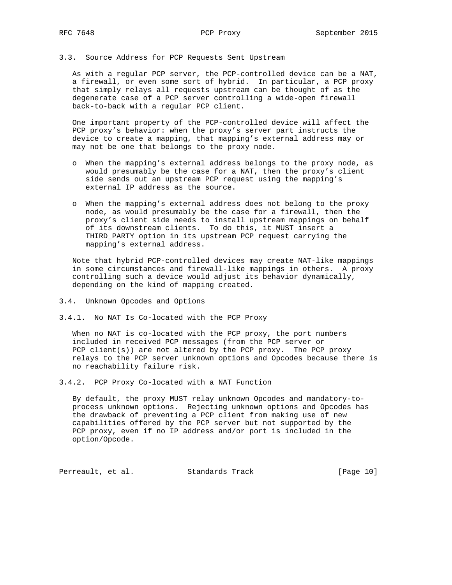### 3.3. Source Address for PCP Requests Sent Upstream

 As with a regular PCP server, the PCP-controlled device can be a NAT, a firewall, or even some sort of hybrid. In particular, a PCP proxy that simply relays all requests upstream can be thought of as the degenerate case of a PCP server controlling a wide-open firewall back-to-back with a regular PCP client.

 One important property of the PCP-controlled device will affect the PCP proxy's behavior: when the proxy's server part instructs the device to create a mapping, that mapping's external address may or may not be one that belongs to the proxy node.

- o When the mapping's external address belongs to the proxy node, as would presumably be the case for a NAT, then the proxy's client side sends out an upstream PCP request using the mapping's external IP address as the source.
- o When the mapping's external address does not belong to the proxy node, as would presumably be the case for a firewall, then the proxy's client side needs to install upstream mappings on behalf of its downstream clients. To do this, it MUST insert a THIRD\_PARTY option in its upstream PCP request carrying the mapping's external address.

 Note that hybrid PCP-controlled devices may create NAT-like mappings in some circumstances and firewall-like mappings in others. A proxy controlling such a device would adjust its behavior dynamically, depending on the kind of mapping created.

- 3.4. Unknown Opcodes and Options
- 3.4.1. No NAT Is Co-located with the PCP Proxy

 When no NAT is co-located with the PCP proxy, the port numbers included in received PCP messages (from the PCP server or PCP client(s)) are not altered by the PCP proxy. The PCP proxy relays to the PCP server unknown options and Opcodes because there is no reachability failure risk.

3.4.2. PCP Proxy Co-located with a NAT Function

 By default, the proxy MUST relay unknown Opcodes and mandatory-to process unknown options. Rejecting unknown options and Opcodes has the drawback of preventing a PCP client from making use of new capabilities offered by the PCP server but not supported by the PCP proxy, even if no IP address and/or port is included in the option/Opcode.

Perreault, et al. Standards Track [Page 10]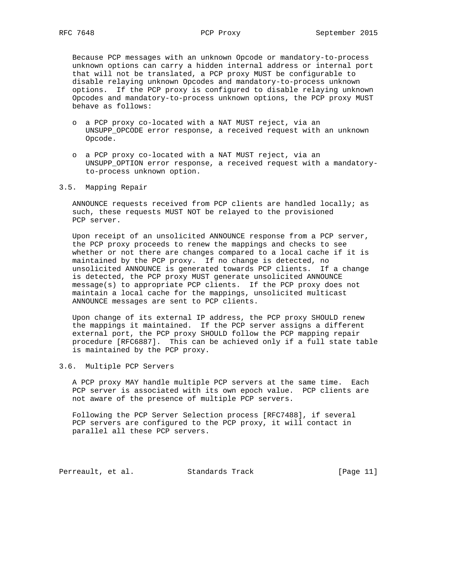Because PCP messages with an unknown Opcode or mandatory-to-process unknown options can carry a hidden internal address or internal port that will not be translated, a PCP proxy MUST be configurable to disable relaying unknown Opcodes and mandatory-to-process unknown options. If the PCP proxy is configured to disable relaying unknown Opcodes and mandatory-to-process unknown options, the PCP proxy MUST behave as follows:

- o a PCP proxy co-located with a NAT MUST reject, via an UNSUPP\_OPCODE error response, a received request with an unknown Opcode.
- o a PCP proxy co-located with a NAT MUST reject, via an UNSUPP\_OPTION error response, a received request with a mandatory to-process unknown option.
- 3.5. Mapping Repair

 ANNOUNCE requests received from PCP clients are handled locally; as such, these requests MUST NOT be relayed to the provisioned PCP server.

 Upon receipt of an unsolicited ANNOUNCE response from a PCP server, the PCP proxy proceeds to renew the mappings and checks to see whether or not there are changes compared to a local cache if it is maintained by the PCP proxy. If no change is detected, no unsolicited ANNOUNCE is generated towards PCP clients. If a change is detected, the PCP proxy MUST generate unsolicited ANNOUNCE message(s) to appropriate PCP clients. If the PCP proxy does not maintain a local cache for the mappings, unsolicited multicast ANNOUNCE messages are sent to PCP clients.

 Upon change of its external IP address, the PCP proxy SHOULD renew the mappings it maintained. If the PCP server assigns a different external port, the PCP proxy SHOULD follow the PCP mapping repair procedure [RFC6887]. This can be achieved only if a full state table is maintained by the PCP proxy.

## 3.6. Multiple PCP Servers

 A PCP proxy MAY handle multiple PCP servers at the same time. Each PCP server is associated with its own epoch value. PCP clients are not aware of the presence of multiple PCP servers.

 Following the PCP Server Selection process [RFC7488], if several PCP servers are configured to the PCP proxy, it will contact in parallel all these PCP servers.

Perreault, et al. Standards Track [Page 11]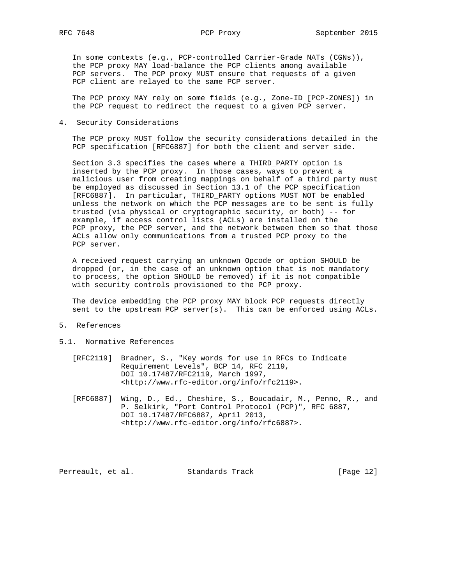In some contexts (e.g., PCP-controlled Carrier-Grade NATs (CGNs)), the PCP proxy MAY load-balance the PCP clients among available PCP servers. The PCP proxy MUST ensure that requests of a given PCP client are relayed to the same PCP server.

 The PCP proxy MAY rely on some fields (e.g., Zone-ID [PCP-ZONES]) in the PCP request to redirect the request to a given PCP server.

4. Security Considerations

 The PCP proxy MUST follow the security considerations detailed in the PCP specification [RFC6887] for both the client and server side.

 Section 3.3 specifies the cases where a THIRD\_PARTY option is inserted by the PCP proxy. In those cases, ways to prevent a malicious user from creating mappings on behalf of a third party must be employed as discussed in Section 13.1 of the PCP specification [RFC6887]. In particular, THIRD\_PARTY options MUST NOT be enabled unless the network on which the PCP messages are to be sent is fully trusted (via physical or cryptographic security, or both) -- for example, if access control lists (ACLs) are installed on the PCP proxy, the PCP server, and the network between them so that those ACLs allow only communications from a trusted PCP proxy to the PCP server.

 A received request carrying an unknown Opcode or option SHOULD be dropped (or, in the case of an unknown option that is not mandatory to process, the option SHOULD be removed) if it is not compatible with security controls provisioned to the PCP proxy.

 The device embedding the PCP proxy MAY block PCP requests directly sent to the upstream PCP server(s). This can be enforced using ACLs.

- 5. References
- 5.1. Normative References
	- [RFC2119] Bradner, S., "Key words for use in RFCs to Indicate Requirement Levels", BCP 14, RFC 2119, DOI 10.17487/RFC2119, March 1997, <http://www.rfc-editor.org/info/rfc2119>.
	- [RFC6887] Wing, D., Ed., Cheshire, S., Boucadair, M., Penno, R., and P. Selkirk, "Port Control Protocol (PCP)", RFC 6887, DOI 10.17487/RFC6887, April 2013, <http://www.rfc-editor.org/info/rfc6887>.

Perreault, et al. Standards Track [Page 12]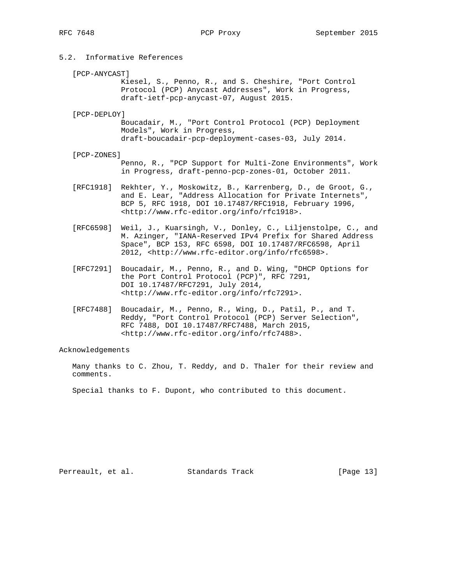# 5.2. Informative References

[PCP-ANYCAST]

 Kiesel, S., Penno, R., and S. Cheshire, "Port Control Protocol (PCP) Anycast Addresses", Work in Progress, draft-ietf-pcp-anycast-07, August 2015.

### [PCP-DEPLOY]

 Boucadair, M., "Port Control Protocol (PCP) Deployment Models", Work in Progress, draft-boucadair-pcp-deployment-cases-03, July 2014.

### [PCP-ZONES]

 Penno, R., "PCP Support for Multi-Zone Environments", Work in Progress, draft-penno-pcp-zones-01, October 2011.

- [RFC1918] Rekhter, Y., Moskowitz, B., Karrenberg, D., de Groot, G., and E. Lear, "Address Allocation for Private Internets", BCP 5, RFC 1918, DOI 10.17487/RFC1918, February 1996, <http://www.rfc-editor.org/info/rfc1918>.
- [RFC6598] Weil, J., Kuarsingh, V., Donley, C., Liljenstolpe, C., and M. Azinger, "IANA-Reserved IPv4 Prefix for Shared Address Space", BCP 153, RFC 6598, DOI 10.17487/RFC6598, April 2012, <http://www.rfc-editor.org/info/rfc6598>.
- [RFC7291] Boucadair, M., Penno, R., and D. Wing, "DHCP Options for the Port Control Protocol (PCP)", RFC 7291, DOI 10.17487/RFC7291, July 2014, <http://www.rfc-editor.org/info/rfc7291>.
- [RFC7488] Boucadair, M., Penno, R., Wing, D., Patil, P., and T. Reddy, "Port Control Protocol (PCP) Server Selection", RFC 7488, DOI 10.17487/RFC7488, March 2015, <http://www.rfc-editor.org/info/rfc7488>.

## Acknowledgements

 Many thanks to C. Zhou, T. Reddy, and D. Thaler for their review and comments.

Special thanks to F. Dupont, who contributed to this document.

Perreault, et al. Standards Track [Page 13]